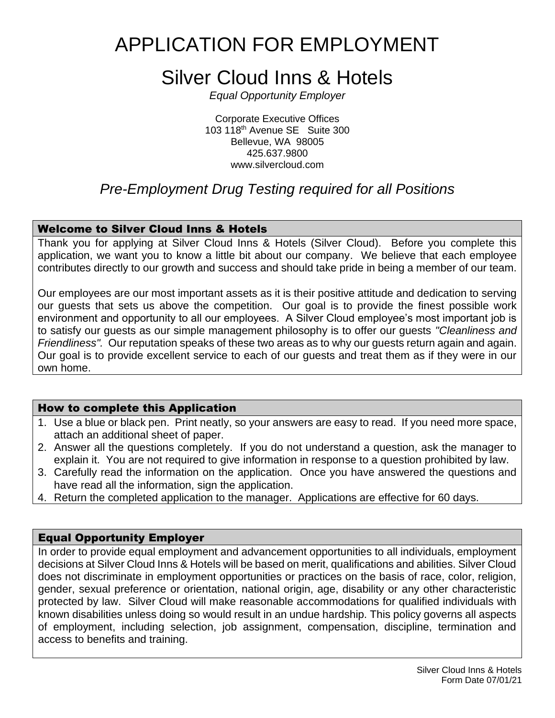# APPLICATION FOR EMPLOYMENT

# Silver Cloud Inns & Hotels

*Equal Opportunity Employer*

Corporate Executive Offices 103 118th Avenue SE Suite 300 Bellevue, WA 98005 425.637.9800 www.silvercloud.com

### *Pre-Employment Drug Testing required for all Positions*

### Welcome to Silver Cloud Inns & Hotels

Thank you for applying at Silver Cloud Inns & Hotels (Silver Cloud). Before you complete this application, we want you to know a little bit about our company. We believe that each employee contributes directly to our growth and success and should take pride in being a member of our team.

Our employees are our most important assets as it is their positive attitude and dedication to serving our guests that sets us above the competition. Our goal is to provide the finest possible work environment and opportunity to all our employees. A Silver Cloud employee's most important job is to satisfy our guests as our simple management philosophy is to offer our guests *"Cleanliness and Friendliness".* Our reputation speaks of these two areas as to why our guests return again and again. Our goal is to provide excellent service to each of our guests and treat them as if they were in our own home.

#### How to complete this Application

- 1. Use a blue or black pen. Print neatly, so your answers are easy to read. If you need more space, attach an additional sheet of paper.
- 2. Answer all the questions completely. If you do not understand a question, ask the manager to explain it. You are not required to give information in response to a question prohibited by law.
- 3. Carefully read the information on the application. Once you have answered the questions and have read all the information, sign the application.
- 4. Return the completed application to the manager. Applications are effective for 60 days.

#### Equal Opportunity Employer

In order to provide equal employment and advancement opportunities to all individuals, employment decisions at Silver Cloud Inns & Hotels will be based on merit, qualifications and abilities. Silver Cloud does not discriminate in employment opportunities or practices on the basis of race, color, religion, gender, sexual preference or orientation, national origin, age, disability or any other characteristic protected by law. Silver Cloud will make reasonable accommodations for qualified individuals with known disabilities unless doing so would result in an undue hardship. This policy governs all aspects of employment, including selection, job assignment, compensation, discipline, termination and access to benefits and training.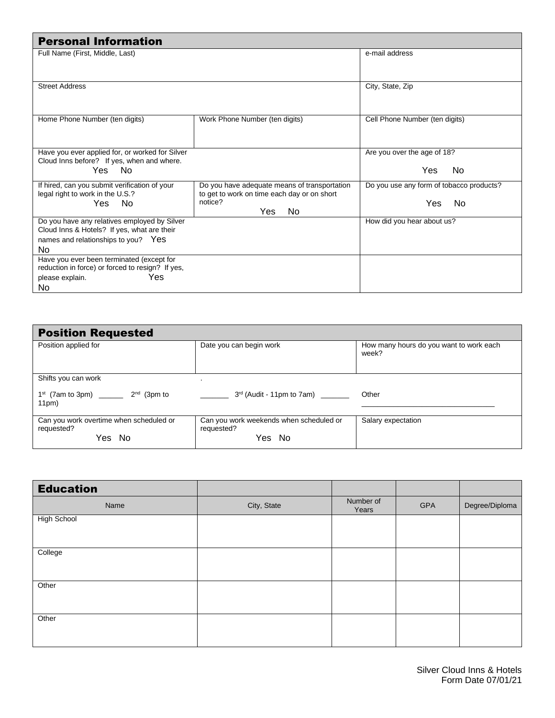| <b>Personal Information</b>                                                                                                               |                                                                                                                      |                                                         |
|-------------------------------------------------------------------------------------------------------------------------------------------|----------------------------------------------------------------------------------------------------------------------|---------------------------------------------------------|
| Full Name (First, Middle, Last)                                                                                                           |                                                                                                                      | e-mail address                                          |
| <b>Street Address</b>                                                                                                                     |                                                                                                                      | City, State, Zip                                        |
| Home Phone Number (ten digits)                                                                                                            | Work Phone Number (ten digits)                                                                                       | Cell Phone Number (ten digits)                          |
| Have you ever applied for, or worked for Silver<br>Cloud Inns before? If yes, when and where.<br>Yes No                                   |                                                                                                                      | Are you over the age of 18?<br>No.<br>Yes.              |
| If hired, can you submit verification of your<br>legal right to work in the U.S.?<br>Yes<br>No.                                           | Do you have adequate means of transportation<br>to get to work on time each day or on short<br>notice?<br>Yes<br>No. | Do you use any form of tobacco products?<br>Yes.<br>No. |
| Do you have any relatives employed by Silver<br>Cloud Inns & Hotels? If yes, what are their<br>names and relationships to you? Yes<br>No. |                                                                                                                      | How did you hear about us?                              |
| Have you ever been terminated (except for<br>reduction in force) or forced to resign? If yes,<br>Yes<br>please explain.<br>No.            |                                                                                                                      |                                                         |

| <b>Position Requested</b>                                       |                                                                 |                                                  |
|-----------------------------------------------------------------|-----------------------------------------------------------------|--------------------------------------------------|
| Position applied for                                            | Date you can begin work                                         | How many hours do you want to work each<br>week? |
| Shifts you can work                                             |                                                                 |                                                  |
| $1^{st}$ (7am to 3pm) _________ $2^{nd}$ (3pm to<br>11pm)       | $3rd$ (Audit - 11pm to 7am) _______                             | Other                                            |
| Can you work overtime when scheduled or<br>requested?<br>Yes No | Can you work weekends when scheduled or<br>requested?<br>Yes No | Salary expectation                               |

| <b>Education</b>   |             |                    |     |                |
|--------------------|-------------|--------------------|-----|----------------|
| Name               | City, State | Number of<br>Years | GPA | Degree/Diploma |
| <b>High School</b> |             |                    |     |                |
| College            |             |                    |     |                |
| Other              |             |                    |     |                |
| Other              |             |                    |     |                |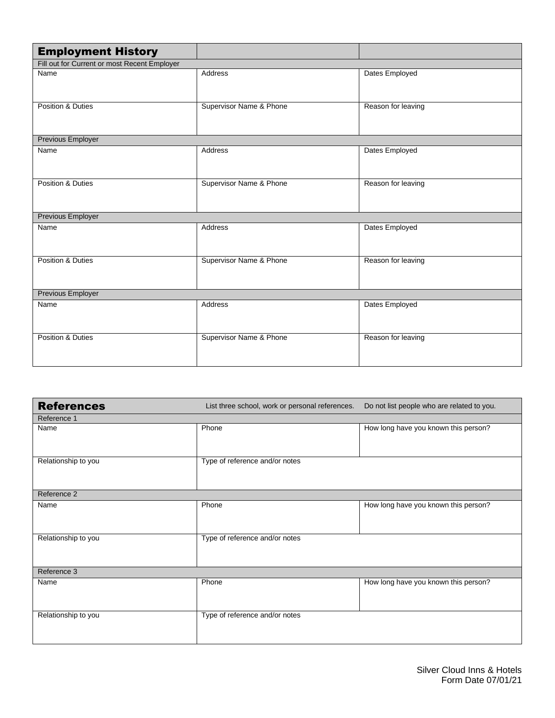| <b>Employment History</b>                    |                         |                    |
|----------------------------------------------|-------------------------|--------------------|
| Fill out for Current or most Recent Employer |                         |                    |
| Name                                         | Address                 | Dates Employed     |
| Position & Duties                            | Supervisor Name & Phone | Reason for leaving |
| <b>Previous Employer</b>                     |                         |                    |
| Name                                         | Address                 | Dates Employed     |
| Position & Duties                            | Supervisor Name & Phone | Reason for leaving |
| Previous Employer                            |                         |                    |
| Name                                         | Address                 | Dates Employed     |
| Position & Duties                            | Supervisor Name & Phone | Reason for leaving |
| <b>Previous Employer</b>                     |                         |                    |
| Name                                         | Address                 | Dates Employed     |
| Position & Duties                            | Supervisor Name & Phone | Reason for leaving |

| <b>References</b>   | List three school, work or personal references. | Do not list people who are related to you. |
|---------------------|-------------------------------------------------|--------------------------------------------|
| Reference 1         |                                                 |                                            |
| Name                | Phone                                           | How long have you known this person?       |
| Relationship to you | Type of reference and/or notes                  |                                            |
| Reference 2         |                                                 |                                            |
| Name                | Phone                                           | How long have you known this person?       |
| Relationship to you | Type of reference and/or notes                  |                                            |
| Reference 3         |                                                 |                                            |
| Name                | Phone                                           | How long have you known this person?       |
| Relationship to you | Type of reference and/or notes                  |                                            |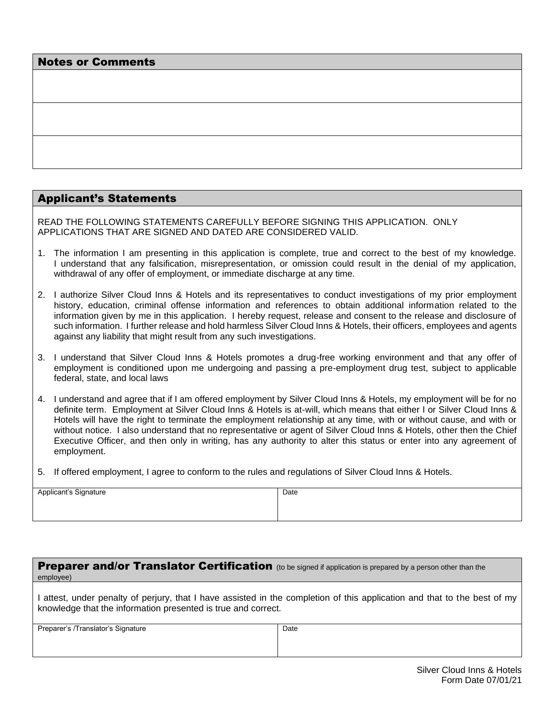| <b>Notes or Comments</b> |
|--------------------------|
|--------------------------|

#### Applicant's Statements

READ THE FOLLOWING STATEMENTS CAREFULLY BEFORE SIGNING THIS APPLICATION. ONLY APPLICATIONS THAT ARE SIGNED AND DATED ARE CONSIDERED VALID.

- 1. The information I am presenting in this application is complete, true and correct to the best of my knowledge. I understand that any falsification, misrepresentation, or omission could result in the denial of my application, withdrawal of any offer of employment, or immediate discharge at any time.
- 2. I authorize Silver Cloud Inns & Hotels and its representatives to conduct investigations of my prior employment history, education, criminal offense information and references to obtain additional information related to the information given by me in this application. I hereby request, release and consent to the release and disclosure of such information. I further release and hold harmless Silver Cloud Inns & Hotels, their officers, employees and agents against any liability that might result from any such investigations.
- 3. I understand that Silver Cloud Inns & Hotels promotes a drug-free working environment and that any offer of employment is conditioned upon me undergoing and passing a pre-employment drug test, subject to applicable federal, state, and local laws
- 4. I understand and agree that if I am offered employment by Silver Cloud Inns & Hotels, my employment will be for no definite term. Employment at Silver Cloud Inns & Hotels is at-will, which means that either I or Silver Cloud Inns & Hotels will have the right to terminate the employment relationship at any time, with or without cause, and with or without notice. I also understand that no representative or agent of Silver Cloud Inns & Hotels, other then the Chief Executive Officer, and then only in writing, has any authority to alter this status or enter into any agreement of employment.
- 5. If offered employment, I agree to conform to the rules and regulations of Silver Cloud Inns & Hotels.

| Applicant's Signature | Date |
|-----------------------|------|
|                       |      |
|                       |      |
|                       |      |
|                       |      |

| <b>Preparer and/or Translator Certification</b> (to be signed if application is prepared by a person other than the<br>employee) |                                                                                                                           |
|----------------------------------------------------------------------------------------------------------------------------------|---------------------------------------------------------------------------------------------------------------------------|
| knowledge that the information presented is true and correct.                                                                    | I attest, under penalty of perjury, that I have assisted in the completion of this application and that to the best of my |
| Preparer's /Translator's Signature                                                                                               | Date                                                                                                                      |